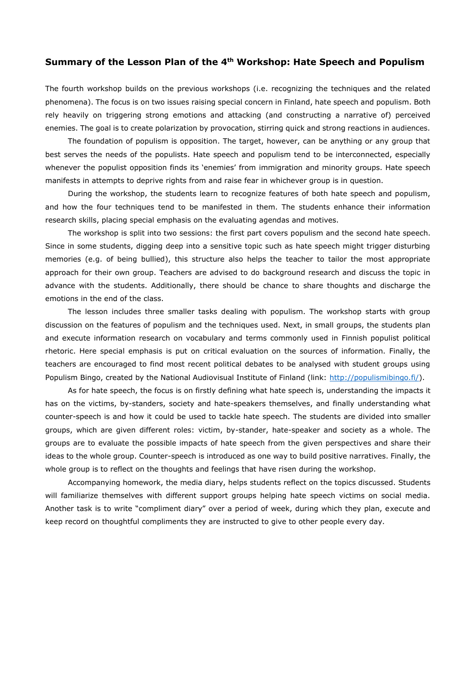## **Summary of the Lesson Plan of the 4th Workshop: Hate Speech and Populism**

The fourth workshop builds on the previous workshops (i.e. recognizing the techniques and the related phenomena). The focus is on two issues raising special concern in Finland, hate speech and populism. Both rely heavily on triggering strong emotions and attacking (and constructing a narrative of) perceived enemies. The goal is to create polarization by provocation, stirring quick and strong reactions in audiences.

The foundation of populism is opposition. The target, however, can be anything or any group that best serves the needs of the populists. Hate speech and populism tend to be interconnected, especially whenever the populist opposition finds its 'enemies' from immigration and minority groups. Hate speech manifests in attempts to deprive rights from and raise fear in whichever group is in question.

During the workshop, the students learn to recognize features of both hate speech and populism, and how the four techniques tend to be manifested in them. The students enhance their information research skills, placing special emphasis on the evaluating agendas and motives.

The workshop is split into two sessions: the first part covers populism and the second hate speech. Since in some students, digging deep into a sensitive topic such as hate speech might trigger disturbing memories (e.g. of being bullied), this structure also helps the teacher to tailor the most appropriate approach for their own group. Teachers are advised to do background research and discuss the topic in advance with the students. Additionally, there should be chance to share thoughts and discharge the emotions in the end of the class.

The lesson includes three smaller tasks dealing with populism. The workshop starts with group discussion on the features of populism and the techniques used. Next, in small groups, the students plan and execute information research on vocabulary and terms commonly used in Finnish populist political rhetoric. Here special emphasis is put on critical evaluation on the sources of information. Finally, the teachers are encouraged to find most recent political debates to be analysed with student groups using Populism Bingo, created by the National Audiovisual Institute of Finland (link: [http://populismibingo.fi/\)](http://populismibingo.fi/).

As for hate speech, the focus is on firstly defining what hate speech is, understanding the impacts it has on the victims, by-standers, society and hate-speakers themselves, and finally understanding what counter-speech is and how it could be used to tackle hate speech. The students are divided into smaller groups, which are given different roles: victim, by-stander, hate-speaker and society as a whole. The groups are to evaluate the possible impacts of hate speech from the given perspectives and share their ideas to the whole group. Counter-speech is introduced as one way to build positive narratives. Finally, the whole group is to reflect on the thoughts and feelings that have risen during the workshop.

Accompanying homework, the media diary, helps students reflect on the topics discussed. Students will familiarize themselves with different support groups helping hate speech victims on social media. Another task is to write "compliment diary" over a period of week, during which they plan, execute and keep record on thoughtful compliments they are instructed to give to other people every day.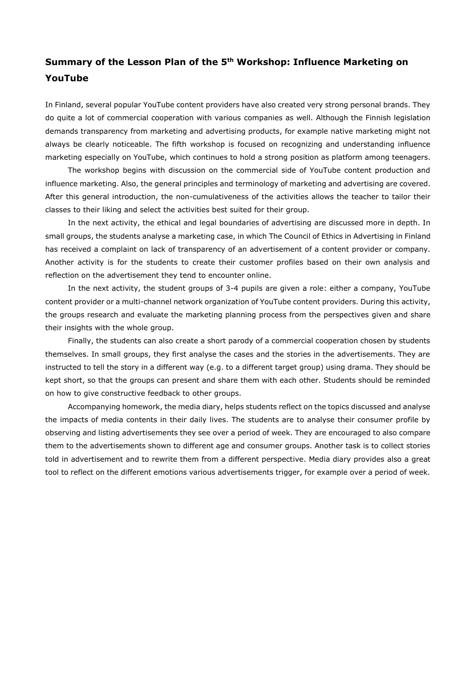## **Summary of the Lesson Plan of the 5th Workshop: Influence Marketing on YouTube**

In Finland, several popular YouTube content providers have also created very strong personal brands. They do quite a lot of commercial cooperation with various companies as well. Although the Finnish legislation demands transparency from marketing and advertising products, for example native marketing might not always be clearly noticeable. The fifth workshop is focused on recognizing and understanding influence marketing especially on YouTube, which continues to hold a strong position as platform among teenagers.

The workshop begins with discussion on the commercial side of YouTube content production and influence marketing. Also, the general principles and terminology of marketing and advertising are covered. After this general introduction, the non-cumulativeness of the activities allows the teacher to tailor their classes to their liking and select the activities best suited for their group.

In the next activity, the ethical and legal boundaries of advertising are discussed more in depth. In small groups, the students analyse a marketing case, in which The Council of Ethics in Advertising in Finland has received a complaint on lack of transparency of an advertisement of a content provider or company. Another activity is for the students to create their customer profiles based on their own analysis and reflection on the advertisement they tend to encounter online.

In the next activity, the student groups of 3-4 pupils are given a role: either a company, YouTube content provider or a multi-channel network organization of YouTube content providers. During this activity, the groups research and evaluate the marketing planning process from the perspectives given and share their insights with the whole group.

Finally, the students can also create a short parody of a commercial cooperation chosen by students themselves. In small groups, they first analyse the cases and the stories in the advertisements. They are instructed to tell the story in a different way (e.g. to a different target group) using drama. They should be kept short, so that the groups can present and share them with each other. Students should be reminded on how to give constructive feedback to other groups.

Accompanying homework, the media diary, helps students reflect on the topics discussed and analyse the impacts of media contents in their daily lives. The students are to analyse their consumer profile by observing and listing advertisements they see over a period of week. They are encouraged to also compare them to the advertisements shown to different age and consumer groups. Another task is to collect stories told in advertisement and to rewrite them from a different perspective. Media diary provides also a great tool to reflect on the different emotions various advertisements trigger, for example over a period of week.